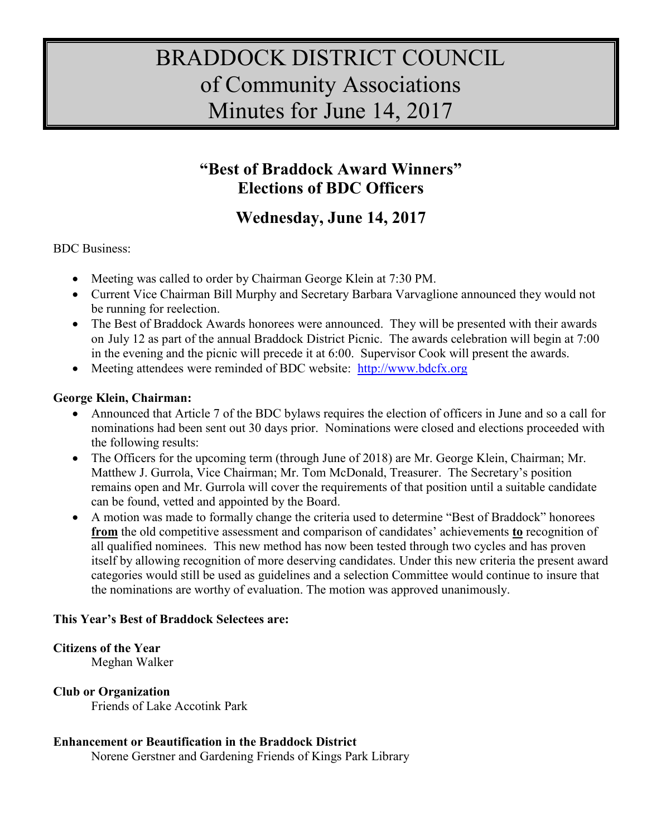# BRADDOCK DISTRICT COUNCIL of Community Associations Minutes for June 14, 2017

# **"Best of Braddock Award Winners" Elections of BDC Officers**

# **Wednesday, June 14, 2017**

BDC Business:

- Meeting was called to order by Chairman George Klein at 7:30 PM.
- Current Vice Chairman Bill Murphy and Secretary Barbara Varvaglione announced they would not be running for reelection.
- The Best of Braddock Awards honorees were announced. They will be presented with their awards on July 12 as part of the annual Braddock District Picnic. The awards celebration will begin at 7:00 in the evening and the picnic will precede it at 6:00. Supervisor Cook will present the awards.
- Meeting attendees were reminded of BDC website: [http://www.bdcfx.org](http://www.bdcfx.org/)

## **George Klein, Chairman:**

- Announced that Article 7 of the BDC bylaws requires the election of officers in June and so a call for nominations had been sent out 30 days prior. Nominations were closed and elections proceeded with the following results:
- The Officers for the upcoming term (through June of 2018) are Mr. George Klein, Chairman; Mr. Matthew J. Gurrola, Vice Chairman; Mr. Tom McDonald, Treasurer. The Secretary's position remains open and Mr. Gurrola will cover the requirements of that position until a suitable candidate can be found, vetted and appointed by the Board.
- A motion was made to formally change the criteria used to determine "Best of Braddock" honorees **from** the old competitive assessment and comparison of candidates' achievements **to** recognition of all qualified nominees. This new method has now been tested through two cycles and has proven itself by allowing recognition of more deserving candidates. Under this new criteria the present award categories would still be used as guidelines and a selection Committee would continue to insure that the nominations are worthy of evaluation. The motion was approved unanimously.

## **This Year's Best of Braddock Selectees are:**

## **Citizens of the Year**

Meghan Walker

## **Club or Organization**

Friends of Lake Accotink Park

## **Enhancement or Beautification in the Braddock District**

Norene Gerstner and Gardening Friends of Kings Park Library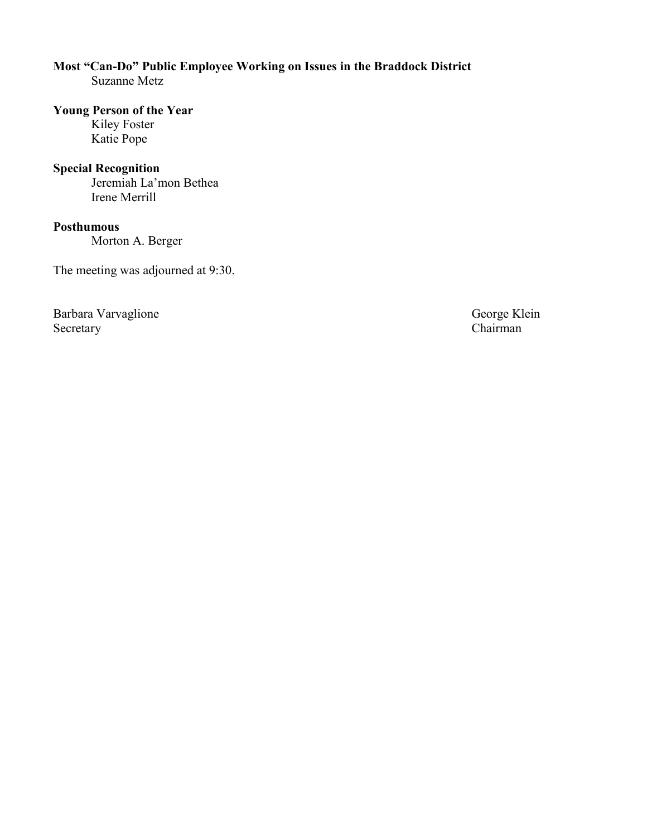#### **Most "Can-Do" Public Employee Working on Issues in the Braddock District** Suzanne Metz

#### **Young Person of the Year**

Kiley Foster Katie Pope

#### **Special Recognition**

Jeremiah La'mon Bethea Irene Merrill

## **Posthumous**

Morton A. Berger

The meeting was adjourned at 9:30.

Barbara Varvaglione George Klein Secretary Chairman